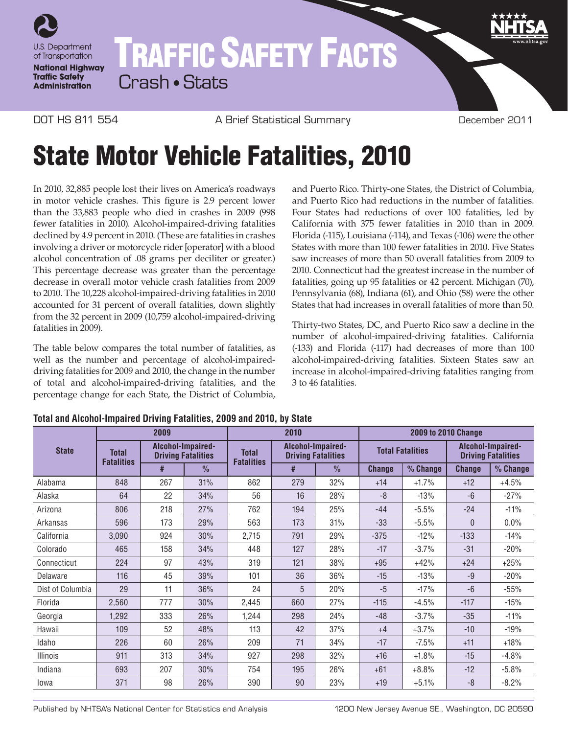

## TRAFFIC SAFETY FACTS Crash • Stats

DOT HS 811 554 A Brief Statistical Summary December 2011

## State Motor Vehicle Fatalities, 2010

In 2010, 32,885 people lost their lives on America's roadways in motor vehicle crashes. This figure is 2.9 percent lower than the 33,883 people who died in crashes in 2009 (998 fewer fatalities in 2010). Alcohol-impaired-driving fatalities declined by 4.9 percent in 2010. (These are fatalities in crashes involving a driver or motorcycle rider [operator] with a blood alcohol concentration of .08 grams per deciliter or greater.) This percentage decrease was greater than the percentage decrease in overall motor vehicle crash fatalities from 2009 to 2010. The 10,228 alcohol-impaired-driving fatalities in 2010 accounted for 31 percent of overall fatalities, down slightly from the 32 percent in 2009 (10,759 alcohol-impaired-driving fatalities in 2009).

The table below compares the total number of fatalities, as well as the number and percentage of alcohol-impaireddriving fatalities for 2009 and 2010, the change in the number of total and alcohol-impaired-driving fatalities, and the percentage change for each State, the District of Columbia, and Puerto Rico. Thirty-one States, the District of Columbia, and Puerto Rico had reductions in the number of fatalities. Four States had reductions of over 100 fatalities, led by California with 375 fewer fatalities in 2010 than in 2009. Florida (-115), Louisiana (-114), and Texas (-106) were the other States with more than 100 fewer fatalities in 2010. Five States saw increases of more than 50 overall fatalities from 2009 to 2010. Connecticut had the greatest increase in the number of fatalities, going up 95 fatalities or 42 percent. Michigan (70), Pennsylvania (68), Indiana (61), and Ohio (58) were the other States that had increases in overall fatalities of more than 50.

Thirty-two States, DC, and Puerto Rico saw a decline in the number of alcohol-impaired-driving fatalities. California (-133) and Florida (-117) had decreases of more than 100 alcohol-impaired-driving fatalities. Sixteen States saw an increase in alcohol-impaired-driving fatalities ranging from 3 to 46 fatalities.

| <b>State</b>     | 2009                              |                                                |               | 2010                              |                                                |               | <b>2009 to 2010 Change</b> |          |                                                |          |  |
|------------------|-----------------------------------|------------------------------------------------|---------------|-----------------------------------|------------------------------------------------|---------------|----------------------------|----------|------------------------------------------------|----------|--|
|                  | <b>Total</b><br><b>Fatalities</b> | Alcohol-Impaired-<br><b>Driving Fatalities</b> |               | <b>Total</b><br><b>Fatalities</b> | Alcohol-Impaired-<br><b>Driving Fatalities</b> |               | <b>Total Fatalities</b>    |          | Alcohol-Impaired-<br><b>Driving Fatalities</b> |          |  |
|                  |                                   | #                                              | $\frac{0}{n}$ |                                   | #                                              | $\frac{0}{0}$ | <b>Change</b>              | % Change | <b>Change</b>                                  | % Change |  |
| Alabama          | 848                               | 267                                            | 31%           | 862                               | 279                                            | 32%           | $+14$                      | $+1.7%$  | $+12$                                          | $+4.5%$  |  |
| Alaska           | 64                                | 22                                             | 34%           | 56                                | 16                                             | 28%           | -8                         | $-13%$   | $-6$                                           | $-27%$   |  |
| Arizona          | 806                               | 218                                            | 27%           | 762                               | 194                                            | 25%           | $-44$                      | $-5.5%$  | $-24$                                          | $-11%$   |  |
| Arkansas         | 596                               | 173                                            | 29%           | 563                               | 173                                            | 31%           | $-33$                      | $-5.5%$  | 0                                              | 0.0%     |  |
| California       | 3,090                             | 924                                            | 30%           | 2,715                             | 791                                            | 29%           | $-375$                     | $-12%$   | $-133$                                         | $-14%$   |  |
| Colorado         | 465                               | 158                                            | 34%           | 448                               | 127                                            | 28%           | $-17$                      | $-3.7%$  | $-31$                                          | $-20%$   |  |
| Connecticut      | 224                               | 97                                             | 43%           | 319                               | 121                                            | 38%           | $+95$                      | $+42%$   | $+24$                                          | $+25%$   |  |
| Delaware         | 116                               | 45                                             | 39%           | 101                               | 36                                             | 36%           | $-15$                      | $-13%$   | $-9$                                           | $-20%$   |  |
| Dist of Columbia | 29                                | 11                                             | 36%           | 24                                | 5                                              | 20%           | $-5$                       | $-17%$   | $-6$                                           | $-55%$   |  |
| Florida          | 2,560                             | 777                                            | 30%           | 2,445                             | 660                                            | 27%           | $-115$                     | $-4.5%$  | $-117$                                         | $-15%$   |  |
| Georgia          | 1,292                             | 333                                            | 26%           | 1,244                             | 298                                            | 24%           | $-48$                      | $-3.7%$  | $-35$                                          | $-11%$   |  |
| Hawaii           | 109                               | 52                                             | 48%           | 113                               | 42                                             | 37%           | $+4$                       | $+3.7%$  | $-10$                                          | $-19%$   |  |
| Idaho            | 226                               | 60                                             | 26%           | 209                               | 71                                             | 34%           | $-17$                      | $-7.5%$  | $+11$                                          | $+18%$   |  |
| Illinois         | 911                               | 313                                            | 34%           | 927                               | 298                                            | 32%           | $+16$                      | $+1.8%$  | $-15$                                          | $-4.8%$  |  |
| Indiana          | 693                               | 207                                            | 30%           | 754                               | 195                                            | 26%           | $+61$                      | $+8.8%$  | $-12$                                          | $-5.8%$  |  |
| lowa             | 371                               | 98                                             | 26%           | 390                               | 90                                             | 23%           | $+19$                      | $+5.1%$  | -8                                             | $-8.2%$  |  |

## **Total and Alcohol-Impaired Driving Fatalities, 2009 and 2010, by State**

Published by NHTSA's National Center for Statistics and Analysis 1200 New Jersey Avenue SE., Washington, DC 20590